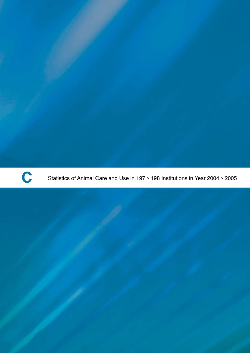

Statistics of Animal Care and Use in 197、198 Institutions in Year 2004、2005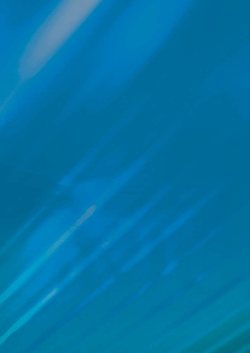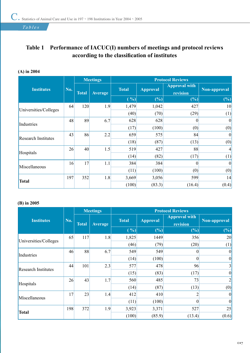## **Table 1 Performance of IACUC(I) numbers of meetings and protocol reviews according to the classification of institutes**

#### **(A) in 2004**

|                            |     |              | <b>Meetings</b> | <b>Protocol Reviews</b> |                 |                                  |                  |  |  |
|----------------------------|-----|--------------|-----------------|-------------------------|-----------------|----------------------------------|------------------|--|--|
| <b>Institutes</b>          | No. | <b>Total</b> | <b>Average</b>  | <b>Total</b>            | <b>Approval</b> | <b>Approval with</b><br>revision | Non-approval     |  |  |
|                            |     |              |                 | ( %)                    | (%)             | (%)                              | $(\%)$           |  |  |
| Universities/Colleges      | 64  | 120          | 1.9             | 1,479                   | 1,042           | 427                              | 10               |  |  |
|                            |     |              |                 | (40)                    | (70)            | (29)                             | (1)              |  |  |
| Industries                 | 48  | 89           | 6.7             | 628                     | 628             | $\theta$                         | $\boldsymbol{0}$ |  |  |
|                            |     |              |                 | (17)                    | (100)           | (0)                              | (0)              |  |  |
|                            | 43  | 86           | 2.2             | 659                     | 575             | 84                               | $\boldsymbol{0}$ |  |  |
| <b>Research Institutes</b> |     |              |                 | (18)                    | (87)            | (13)                             | (0)              |  |  |
|                            | 26  | 40           | 1.5             | 519                     | 427             | 88                               | 4                |  |  |
| Hospitals                  |     |              |                 | (14)                    | (82)            | (17)                             | (1)              |  |  |
|                            | 16  | 17           | 1.1             | 384                     | 384             | $\Omega$                         | $\boldsymbol{0}$ |  |  |
| Miscellaneous              |     |              |                 | (11)                    | (100)           | (0)                              | (0)              |  |  |
| <b>Total</b>               | 197 | 352          | 1.8             | 3,669                   | 3,056           | 599                              | 14               |  |  |
|                            |     |              |                 | (100)                   | (83.3)          | (16.4)                           | (0.4)            |  |  |

### **(B) in 2005**

|                            |     | <b>Meetings</b> |                | <b>Protocol Reviews</b> |                 |                                  |                 |  |  |
|----------------------------|-----|-----------------|----------------|-------------------------|-----------------|----------------------------------|-----------------|--|--|
| <b>Institutes</b>          | No. | <b>Total</b>    | <b>Average</b> | <b>Total</b>            | <b>Approval</b> | <b>Approval with</b><br>revision | Non-approval    |  |  |
|                            |     |                 |                | ( %)                    | (%)             | (%)                              | (%)             |  |  |
| Universities/Colleges      | 65  | 117             | 1.8            | 1,825                   | 1449            | 356                              | 20              |  |  |
|                            |     |                 |                | (46)                    | (79)            | (20)                             | (1)             |  |  |
| Industries                 | 46  | 88              | 6.7            | 549                     | 549             |                                  | $\vert 0 \vert$ |  |  |
|                            |     |                 |                | (14)                    | (100)           | $\theta$                         | $\vert 0 \vert$ |  |  |
| <b>Research Institutes</b> | 44  | 101             | 2.3            | 577                     | 478             | 96                               | $\overline{3}$  |  |  |
|                            |     |                 |                | (15)                    | (83)            | (17)                             | $\vert 0 \vert$ |  |  |
| Hospitals                  | 26  | 43              | 1.7            | 560                     | 485             | 73                               | $\overline{2}$  |  |  |
|                            |     |                 |                | (14)                    | (87)            | (13)                             | (0)             |  |  |
| Miscellaneous              | 17  | 23              | 1.4            | 412                     | 410             | $\overline{2}$                   | $\vert 0 \vert$ |  |  |
|                            |     |                 |                | (11)                    | (100)           | $\theta$                         | $\vert 0 \vert$ |  |  |
| <b>Total</b>               | 198 | 372             | 1.9            | 3,923                   | 3,371           | 527                              | 25              |  |  |
|                            |     |                 |                | (100)                   | (85.9)          | (13.4)                           | (0.6)           |  |  |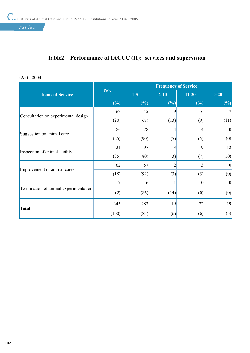# **Table2 Performance of IACUC (II): services and supervision**

### **(A) in 2004**

Tables

|                                       |       | <b>Frequency of Service</b> |                |                  |                 |  |  |
|---------------------------------------|-------|-----------------------------|----------------|------------------|-----------------|--|--|
| <b>Items of Service</b>               | No.   | $1-5$                       | $6 - 10$       | $11 - 20$        | > 20            |  |  |
|                                       | (%)   | (%)                         | (%)            | (%)              | (%)             |  |  |
|                                       | 67    | 45                          | 9              | 6                | $7\overline{)}$ |  |  |
| Consultation on experimental design   | (20)  | (67)                        | (13)           | (9)              | (11)            |  |  |
|                                       | 86    | 78                          | $\overline{4}$ | $\overline{4}$   | $\vert 0 \vert$ |  |  |
| Suggestion on animal care             | (25)  | (90)                        | (5)            | (5)              | (0)             |  |  |
|                                       | 121   | 97                          | 3              | 9                | 12              |  |  |
| Inspection of animal facility         | (35)  | (80)                        | (3)            | (7)              | (10)            |  |  |
|                                       | 62    | 57                          | $\overline{2}$ | 3                | $\vert 0 \vert$ |  |  |
| Improvement of animal cares           | (18)  | (92)                        | (3)            | (5)              | (0)             |  |  |
|                                       |       | 6                           |                | $\boldsymbol{0}$ | $\vert 0 \vert$ |  |  |
| Termination of animal experimentation | (2)   | (86)                        | (14)           | (0)              | (0)             |  |  |
|                                       | 343   | 283                         | 19             | 22               | 19              |  |  |
| <b>Total</b>                          | (100) | (83)                        | (6)            | (6)              | (5)             |  |  |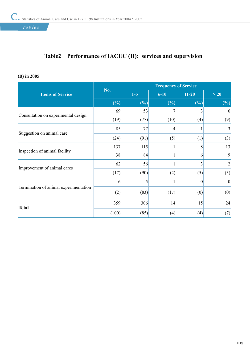# **Table2 Performance of IACUC (II): services and supervision**

#### **(B) in 2005**

Ta b l e s

|                                       |       | <b>Frequency of Service</b> |        |           |                 |  |  |
|---------------------------------------|-------|-----------------------------|--------|-----------|-----------------|--|--|
| <b>Items of Service</b>               | No.   | $1-5$                       | $6-10$ | $11 - 20$ | > 20            |  |  |
|                                       | (%)   | (%)                         | (%)    | (%)       | $(\%)$          |  |  |
| Consultation on experimental design   | 69    | 53                          |        | 3         | 6               |  |  |
|                                       | (19)  | (77)                        | (10)   | (4)       | (9)             |  |  |
|                                       | 85    | 77                          | 4      |           | $\overline{3}$  |  |  |
| Suggestion on animal care             | (24)  | (91)                        | (5)    | (1)       | (3)             |  |  |
| Inspection of animal facility         | 137   | 115                         |        | 8         | 13              |  |  |
|                                       | 38    | 84                          |        | 6         | $\overline{9}$  |  |  |
| Improvement of animal cares           | 62    | 56                          |        | 3         | $\overline{2}$  |  |  |
|                                       | (17)  | (90)                        | (2)    | (5)       | (3)             |  |  |
|                                       | 6     | 5                           |        | $\theta$  | $\vert 0 \vert$ |  |  |
| Termination of animal experimentation | (2)   | (83)                        | (17)   | (0)       | (0)             |  |  |
| <b>Total</b>                          | 359   | 306                         | 14     | 15        | 24              |  |  |
|                                       | (100) | (85)                        | (4)    | (4)       | (7)             |  |  |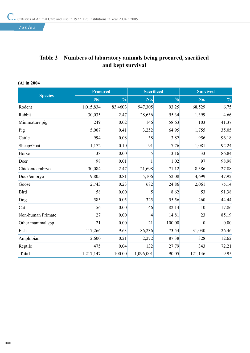#### Tables

## **Table 3 Numbers of laboratory animals being procured, sacrificed and kept survival**

### **(A) in 2004**

|                   | <b>Procured</b> |               | <b>Sacrificed</b> |               | <b>Survived</b> |               |  |
|-------------------|-----------------|---------------|-------------------|---------------|-----------------|---------------|--|
| <b>Species</b>    | No.             | $\frac{0}{0}$ | No.               | $\frac{0}{0}$ | No.             | $\frac{0}{0}$ |  |
| Rodent            | 1,015,834       | 83.4603       | 947,305           | 93.25         | 68,529          | 6.75          |  |
| Rabbit            | 30,035          | 2.47          | 28,636            | 95.34         | 1,399           | 4.66          |  |
| Minimature pig    | 249             | 0.02          | 146               | 58.63         | 103             | 41.37         |  |
| Pig               | 5,007           | 0.41          | 3,252             | 64.95         | 1,755           | 35.05         |  |
| Cattle            | 994             | 0.08          | 38                | 3.82          | 956             | 96.18         |  |
| Sheep/Goat        | 1,172           | 0.10          | 91                | 7.76          | 1,081           | 92.24         |  |
| Horse             | 38              | 0.00          | 5                 | 13.16         | 33              | 86.84         |  |
| Deer              | 98              | 0.01          |                   | 1.02          | 97              | 98.98         |  |
| Chicken/embryo    | 30,084          | 2.47          | 21,698            | 71.12         | 8,386           | 27.88         |  |
| Duck/embryo       | 9,805           | 0.81          | 5,106             | 52.08         | 4,699           | 47.92         |  |
| Goose             | 2,743           | 0.23          | 682               | 24.86         | 2,061           | 75.14         |  |
| <b>Bird</b>       | 58              | 0.00          | 5                 | 8.62          | 53              | 91.38         |  |
| Dog               | 585             | 0.05          | 325               | 55.56         | 260             | 44.44         |  |
| Cat               | 56              | 0.00          | 46                | 82.14         | 10              | 17.86         |  |
| Non-human Primate | 27              | 0.00          | 4                 | 14.81         | 23              | 85.19         |  |
| Other mammal spp  | 21              | 0.00          | 21                | 100.00        | $\overline{0}$  | $0.00\,$      |  |
| Fish              | 117,266         | 9.63          | 86,236            | 73.54         | 31,030          | 26.46         |  |
| Amphibian         | 2,600           | 0.21          | 2,272             | 87.38         | 328             | 12.62         |  |
| Reptile           | 475             | 0.04          | 132               | 27.79         | 343             | 72.21         |  |
| <b>Total</b>      | 1,217,147       | 100.00        | 1,096,001         | 90.05         | 121,146         | 9.95          |  |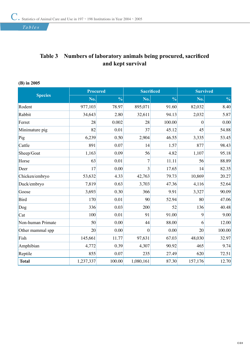Tables

### **Table 3 Numbers of laboratory animals being procured, sacrificed and kept survival**

**(B) in 2005**

|                   | <b>Procured</b> |               | <b>Sacrificed</b> |               | <b>Survived</b> |               |  |
|-------------------|-----------------|---------------|-------------------|---------------|-----------------|---------------|--|
| <b>Species</b>    | No.             | $\frac{0}{0}$ | No.               | $\frac{0}{0}$ | No.             | $\frac{0}{0}$ |  |
| Rodent            | 977,103         | 78.97         | 895,071           | 91.60         | 82,032          | 8.40          |  |
| Rabbit            | 34,643          | 2.80          | 32,611            | 94.13         | 2,032           | 5.87          |  |
| Ferret            | 28              | 0.002         | 28                | 100.00        | $\theta$        | 0.00          |  |
| Minimature pig    | 82              | 0.01          | 37                | 45.12         | 45              | 54.88         |  |
| Pig               | 6,239           | 0.50          | 2,904             | 46.55         | 3,335           | 53.45         |  |
| Cattle            | 891             | 0.07          | 14                | 1.57          | 877             | 98.43         |  |
| Sheep/Goat        | 1,163           | 0.09          | 56                | 4.82          | 1,107           | 95.18         |  |
| Horse             | 63              | 0.01          | 7                 | 11.11         | 56              | 88.89         |  |
| Deer              | 17              | 0.00          | 3                 | 17.65         | 14              | 82.35         |  |
| Chicken/embryo    | 53,632          | 4.33          | 42,763            | 79.73         | 10,869          | 20.27         |  |
| Duck/embryo       | 7,819           | 0.63          | 3,703             | 47.36         | 4,116           | 52.64         |  |
| Goose             | 3,693           | 0.30          | 366               | 9.91          | 3,327           | 90.09         |  |
| <b>Bird</b>       | 170             | 0.01          | 90                | 52.94         | 80              | 47.06         |  |
| Dog               | 336             | 0.03          | 200               | 52            | 136             | 40.48         |  |
| Cat               | 100             | 0.01          | 91                | 91.00         | 9               | 9.00          |  |
| Non-human Primate | 50              | 0.00          | 44                | 88.00         | 6               | 12.00         |  |
| Other mammal spp  | 20              | 0.00          | $\mathbf{0}$      | 0.00          | 20              | 100.00        |  |
| Fish              | 145,661         | 11.77         | 97,631            | 67.03         | 48,030          | 32.97         |  |
| Amphibian         | 4,772           | 0.39          | 4,307             | 90.92         | 465             | 9.74          |  |
| Reptile           | 855             | 0.07          | 235               | 27.49         | 620             | 72.51         |  |
| <b>Total</b>      | 1,237,337       | 100.00        | 1,080,161         | 87.30         | 157,176         | 12.70         |  |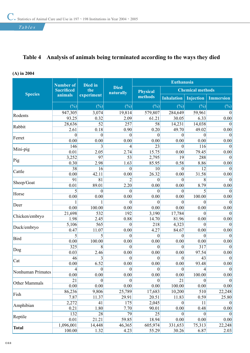# **Table 4 Analysis of animals being terminated according to the ways they died**

### **(A) in 2004**

Tables

|                   | <b>Number of</b>  | Died in<br>the   |                          | Euthanasia       |                         |                |                  |  |
|-------------------|-------------------|------------------|--------------------------|------------------|-------------------------|----------------|------------------|--|
|                   | <b>Sacrificed</b> |                  | <b>Died</b><br>naturally | <b>Physical</b>  | <b>Chemical methods</b> |                |                  |  |
| <b>Species</b>    | animals           | experiment       |                          | methods          | <b>Inhalation</b>       | Injection      | <b>Immersion</b> |  |
|                   | (%)               | $(\%)$           | $(\%)$                   | (%)              | (%)                     | (%)            | $(\%)$           |  |
|                   | 947,305           | 3,074            | 19,814                   | 579,807          | 284,649                 | 59,961         |                  |  |
| Rodents           | 93.25             | 0.32             | 2.09                     | 61.21            | 30.05                   | 6.33           | 0.00             |  |
| Rabbit            | 28,636            | 52               | 257                      | 58               | 14,231                  | 14,038         | $\Omega$         |  |
|                   | 2.61              | 0.18             | 0.90                     | 0.20             | 49.70                   | 49.02          | 0.00             |  |
| Ferret            | $\mathbf{0}$      | $\mathbf{0}$     | $\overline{0}$           | $\mathbf{0}$     | $\overline{0}$          | $\mathbf{0}$   | $\theta$         |  |
|                   | 0.00              | 0.00             | 0.00                     | 0.00             | 0.00                    | $0.00\,$       | 0.00             |  |
|                   | 146               | 3                | 4                        | 23               | $\overline{0}$          | 116            |                  |  |
| Mini-pig          | 0.01              | 2.05             | 2.74                     | 15.75            | 0.00                    | 79.45          | 0.00             |  |
| Pig               | 3,252             | 97               | 53                       | 2,795            | 19                      | 288            | $\Omega$         |  |
|                   | 0.30              | 2.98             | 1.63                     | 85.95            | 0.58                    | 8.86           | 0.00             |  |
| Cattle            | 38                | 16               | $\boldsymbol{0}$         | 10               | $\overline{0}$          | 12             | $\Omega$         |  |
|                   | 0.00              | 42.11            | 0.00                     | 26.32            | 0.00                    | 31.58          | 0.00             |  |
| Sheep/Goat        | 91                | 81               | $\overline{2}$           | $\theta$         | $\overline{0}$          | 8              | $\theta$         |  |
|                   | 0.01              | 89.01            | 2.20                     | 0.00             | 0.00                    | 8.79           | 0.00             |  |
| Horse             | 5                 | $\boldsymbol{0}$ | $\boldsymbol{0}$         | $\mathbf{0}$     | $\overline{0}$          | 5              | $\Omega$         |  |
|                   | 0.00              | 0.00             | 0.00                     | 0.00             | 0.00                    | 100.00         | 0.00             |  |
| Deer              |                   |                  | $\boldsymbol{0}$         | 0                | $\Omega$                | $\Omega$       |                  |  |
|                   | 0.00              | 100.00           | 0.00                     | 0.00             | 0.00                    | 0.00           | 0.00             |  |
| Chicken/embryo    | 21,698            | 532              | 192                      | 3,190            | 17,784                  | $\mathbf{0}$   | 0                |  |
|                   | 1.98              | 2.45             | 0.88                     | 14.70            | 81.96                   | 0.00           | 0.00             |  |
| Duck/embryo       | 5,106             | 565              | $\boldsymbol{0}$         | 218              | 4,323                   | $\mathbf{0}$   | $\Omega$         |  |
|                   | 0.47              | 11.07            | 0.00                     | 4.27             | 84.67                   | 0.00           | 0.00             |  |
| <b>Bird</b>       | 5                 | 5                | $\mathbf{0}$             | $\mathbf{0}$     | $\overline{0}$          | $\mathbf{0}$   | $\Omega$         |  |
|                   | 0.00              | 100.00           | 0.00                     | 0.00             | 0.00                    | $0.00\,$       | 0.00             |  |
| Dog               | 325               | 8                | $\mathbf{0}$             | $\boldsymbol{0}$ | $\overline{0}$          | 317            |                  |  |
|                   | 0.03              | 2.46             | 0.00                     | 0.00             | 0.00                    | 97.54          | 0.00             |  |
| Cat               | 46                | 3                | $\boldsymbol{0}$         | $\theta$         | $\theta$                | 43             | $\Omega$         |  |
|                   | 0.00              | 6.52             | 0.00                     | 0.00             | 0.00                    | 93.48          | 0.00             |  |
| Nonhuman Primates | $\vert 4 \vert$   | $\boldsymbol{0}$ | $\boldsymbol{0}$         | $\boldsymbol{0}$ | $\vert 0 \vert$         | $\overline{4}$ | 0                |  |
|                   | 0.00              | 0.00             | 0.00                     | 0.00             | 0.00                    | 100.00         | 0.00             |  |
| Other Mammals     | 21                | $\mathbf{0}$     | $\theta$                 | $\theta$         | 21                      | $\theta$       | $\Omega$         |  |
|                   | 0.00              | 0.00             | 0.00                     | 0.00             | 100.00                  | 0.00           | 0.00             |  |
| Fish              | 86,236            | 9,806            | 25,789                   | 17,683           | 10,200                  | 510            | 22,248           |  |
|                   | 7.87              | 11.37            | 29.91                    | 20.51            | 11.83                   | 0.59           | 25.80            |  |
| Amphibian         | 2,272             | 41               | 175                      | 2,045            | $\vert 0 \vert$         | 11             | $\theta$         |  |
|                   | 0.21              | 1.80             | 7.70                     | 90.01            | 0.00                    | 0.48           | 0.00             |  |
| Reptile           | 132               | 28               | 79                       | 25               | $\overline{0}$          | $\mathbf{0}$   | $\Omega$         |  |
|                   | 0.01              | 21.21            | 59.85                    | 18.94            | 0.00                    | 0.00           | 0.00             |  |
| <b>Total</b>      | 1,096,001         | 14,448           | 46,365                   | 605,974          | 331,653                 | 75,313         | 22,248           |  |
|                   | 100.00            | 1.32             | 4.23                     | 55.29            | 30.26                   | 6.87           | 2.03             |  |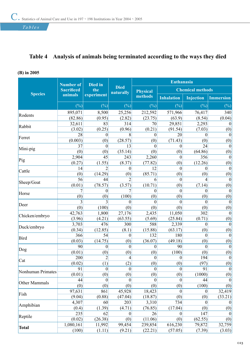# **Table 4 Analysis of animals being terminated according to the ways they died**

### **(B) in 2005**

Tables

|                   | <b>Number of</b>  | <b>Died</b> in   |                          | <b>Euthanasia</b> |                         |                  |                  |  |
|-------------------|-------------------|------------------|--------------------------|-------------------|-------------------------|------------------|------------------|--|
|                   | <b>Sacrificed</b> | the              | <b>Died</b><br>naturally | <b>Physical</b>   | <b>Chemical methods</b> |                  |                  |  |
| <b>Species</b>    | animals           | experiment       |                          | methods           | <b>Inhalation</b>       | <b>Injection</b> | <b>Immersion</b> |  |
|                   | (%)               | $(\%)$           | $(\%)$                   | $(\frac{0}{0})$   | $(\%)$                  | (%)              | $(\%)$           |  |
| Rodents           | 895,071           | 8,500            | 25,256                   | 212,592           | 571,966                 | 76,417           | 340              |  |
|                   | (82.86)           | (0.95)           | (2.82)                   | (23.75)           | (63.9)                  | (8.54)           | (0.04)           |  |
|                   | 32,611            | 83               | 314                      | 70                | 29,851                  | 2,293            | $\theta$         |  |
| Rabbit            | (3.02)            | (0.25)           | (0.96)                   | (0.21)            | (91.54)                 | (7.03)           | (0)              |  |
| Ferret            | 28                | $\mathbf{0}$     | 8                        | $\mathbf{0}$      | 20                      | $\mathbf{0}$     | $\overline{0}$   |  |
|                   | (0.003)           | (0)              | (28.57)                  | (0)               | (71.43)                 | (0)              | (0)              |  |
|                   | 37                | $\Omega$         | 13                       | $\theta$          | $\overline{0}$          | 24               | $\theta$         |  |
| Mini-pig          | (0)               | (0)              | (35.14)                  | (0)               | (0)                     | (64.86)          | (0)              |  |
|                   | 2,904             | 45               | 243                      | 2,260             | $\vert 0 \vert$         | 356              | $\theta$         |  |
| Pig               | (0.27)            | (1.55)           | (8.37)                   | (77.82)           | (0)                     | (12.26)          | (0)              |  |
| Cattle            | 14                | $\overline{2}$   | $\boldsymbol{0}$         | 12                | $\overline{0}$          | 0                | $\theta$         |  |
|                   | (0)               | (14.29)          | (0)                      | (85.71)           | (0)                     | (0)              | (0)              |  |
| Sheep/Goat        | 56                | 44               | 2                        | 6                 | $\theta$                | 4                | $\boldsymbol{0}$ |  |
|                   | (0.01)            | (78.57)          | (3.57)                   | (10.71)           | (0)                     | (7.14)           | (0)              |  |
| Horse             | 7                 | $\Omega$         | 7                        | $\boldsymbol{0}$  | $\overline{0}$          | $\mathbf{0}$     | $\overline{0}$   |  |
|                   | (0)               | (0)              | (100)                    | (0)               | (0)                     | (0)              | (0)              |  |
| Deer              | 3                 | 3                | 0                        | $\Omega$          | 0                       | $\theta$         | $\Omega$         |  |
|                   | (0)               | (100)            | (0)                      | (0)               | (0)                     | (0)              | (0)              |  |
| Chicken/embryo    | 42,763            | 1,800            | 27,176                   | 2,435             | 11,050                  | 302              | $\boldsymbol{0}$ |  |
|                   | (3.96)            | (4.21)           | (63.55)                  | (5.69)            | (25.84)                 | (0.71)           | (0)              |  |
| Duck/embryo       | 3,703             | 476              | 300                      | 588               | 2,339                   | $\overline{0}$   | $\Omega$         |  |
|                   | (0.34)            | (12.85)          | (8.1)                    | (15.88)           | (63.17)                 | (0)              | (0)              |  |
| Bird              | 366               | 54               | $\overline{0}$           | 132               | 180                     | $\mathbf{0}$     | $\overline{0}$   |  |
|                   | (0.03)            | (14.75)          | (0)                      | (36.07)           | (49.18)                 | (0)              | (0)              |  |
| Dog               | 90                | $\boldsymbol{0}$ | $\boldsymbol{0}$         | $\boldsymbol{0}$  | 90                      | $\mathbf{0}$     | $\theta$         |  |
|                   | (0.01)            | (0)              | (0)                      | (0)               | (100)                   | (0)              | (0)              |  |
| Cat               | 200               | $\overline{2}$   | $\overline{4}$           | $\mathbf{0}$      | $\overline{0}$          | 194              | $\overline{0}$   |  |
|                   | (0.02)            | (1)              | (2)                      | (0)               | (0)                     | (97)             | (0)              |  |
| Nonhuman Primates | 91                | $\boldsymbol{0}$ | $\boldsymbol{0}$         | $\vert 0 \vert$   | $\boldsymbol{0}$        | 91               | $\vert 0 \vert$  |  |
|                   | (0.01)            | (0)              | (0)                      | (0)               | (0)                     | (1000)           | (0)              |  |
| Other Mammals     | 44                | $\theta$         | 0                        | $\boldsymbol{0}$  | $\vert 0 \vert$         | 44               | $\theta$         |  |
|                   | (0)               | (0)              | (0)                      | (0)               | (0)                     | (100)            | (0)              |  |
| Fish              | 97,631            | 861              | 45,928                   | 18,423            | $\boldsymbol{0}$        | $\boldsymbol{0}$ | 32,419           |  |
|                   | (9.04)            | (0.88)           | (47.04)                  | (18.87)           | (0)                     | (0)              | (33.21)          |  |
| Amphibian         | 4,307             | 60               | 203                      | 3,310             | 734                     | $\theta$         | $\theta$         |  |
|                   | (0.4)             | (1.39)           | (4.71)                   | (76.85)           | (17.04)                 | (0)              | (0)              |  |
| Reptile           | 235               | 62               | $\overline{0}$           | 26                | $\theta$                | 147              | $\theta$         |  |
|                   | (0.02)            | (26.38)          | (0)                      | (11.06)           | (0)                     | (62.55)          | (0)              |  |
| <b>Total</b>      | 1,080,161         | 11,992           | 99,454                   | 239,854           | 616,230                 | 79,872           | 32,759           |  |
|                   | (100)             | (1.11)           | (9.21)                   | (22.21)           | (57.05)                 | (7.39)           | (3.03)           |  |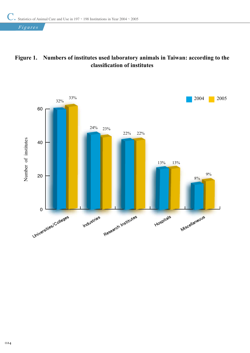### **Figure 1. Numbers of institutes used laboratory animals in Taiwan: according to the classification of institutes**

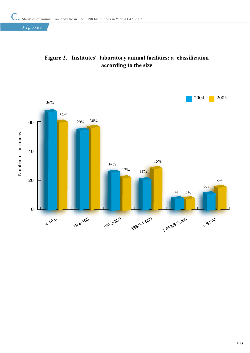# **Figure 2. Institutes' laboratory animal facilities: a classification according to the size**

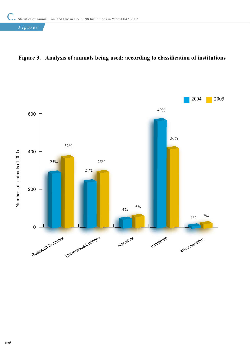### **Figure 3. Analysis of animals being used: according to classification of institutions**

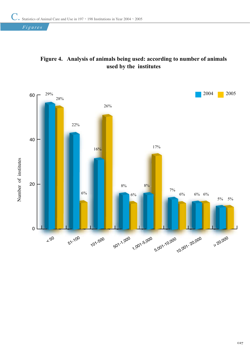